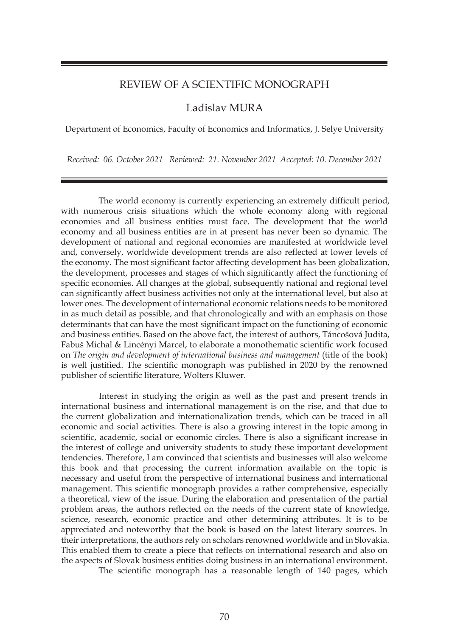## REVIEW OF A SCIENTIFIC MONOGRAPH

## Ladislav MURA

Department of Economics, Faculty of Economics and Informatics, J. Selye University

*Received: 06. October 2021 Reviewed: 21. November 2021 Accepted: 10. December 2021*

The world economy is currently experiencing an extremely difficult period, with numerous crisis situations which the whole economy along with regional economies and all business entities must face. The development that the world economy and all business entities are in at present has never been so dynamic. The development of national and regional economies are manifested at worldwide level and, conversely, worldwide development trends are also reflected at lower levels of the economy. The most significant factor affecting development has been globalization, the development, processes and stages of which significantly affect the functioning of specific economies. All changes at the global, subsequently national and regional level can significantly affect business activities not only at the international level, but also at lower ones. The development of international economic relations needs to be monitored in as much detail as possible, and that chronologically and with an emphasis on those determinants that can have the most significant impact on the functioning of economic and business entities. Based on the above fact, the interest of authors, Táncošová Judita, Fabuš Michal & Lincényi Marcel, to elaborate a monothematic scientific work focused on *The origin and development of international business and management* (title of the book) is well justified. The scientific monograph was published in 2020 by the renowned publisher of scientific literature, Wolters Kluwer.

Interest in studying the origin as well as the past and present trends in international business and international management is on the rise, and that due to the current globalization and internationalization trends, which can be traced in all economic and social activities. There is also a growing interest in the topic among in scientific, academic, social or economic circles. There is also a significant increase in the interest of college and university students to study these important development tendencies. Therefore, I am convinced that scientists and businesses will also welcome this book and that processing the current information available on the topic is necessary and useful from the perspective of international business and international management. This scientific monograph provides a rather comprehensive, especially a theoretical, view of the issue. During the elaboration and presentation of the partial problem areas, the authors reflected on the needs of the current state of knowledge, science, research, economic practice and other determining attributes. It is to be appreciated and noteworthy that the book is based on the latest literary sources. In their interpretations, the authors rely on scholars renowned worldwide and in Slovakia. This enabled them to create a piece that reflects on international research and also on the aspects of Slovak business entities doing business in an international environment.

The scientific monograph has a reasonable length of 140 pages, which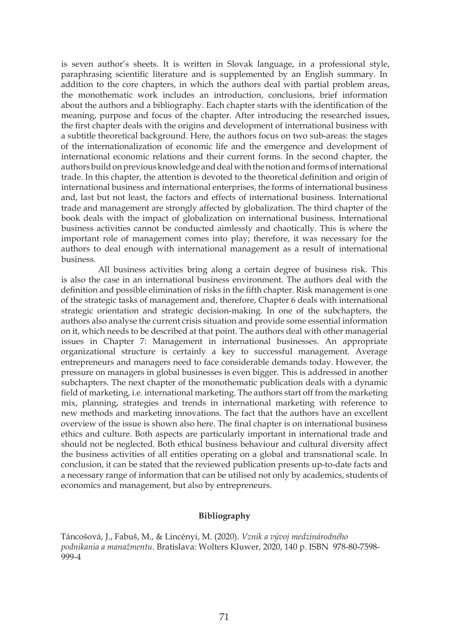is seven author's sheets. It is written in Slovak language, in a professional style, paraphrasing scientific literature and is supplemented by an English summary. In addition to the core chapters, in which the authors deal with partial problem areas, the monothematic work includes an introduction, conclusions, brief information about the authors and a bibliography. Each chapter starts with the identification of the meaning, purpose and focus of the chapter. After introducing the researched issues, the first chapter deals with the origins and development of international business with a subtitle theoretical background. Here, the authors focus on two sub-areas: the stages of the internationalization of economic life and the emergence and development of international economic relations and their current forms. In the second chapter, the authors build on previous knowledge and deal with the notion and forms of international trade. In this chapter, the attention is devoted to the theoretical definition and origin of international business and international enterprises, the forms of international business and, last but not least, the factors and effects of international business. International trade and management are strongly affected by globalization. The third chapter of the book deals with the impact of globalization on international business. International business activities cannot be conducted aimlessly and chaotically. This is where the important role of management comes into play; therefore, it was necessary for the authors to deal enough with international management as a result of international business.

All business activities bring along a certain degree of business risk. This is also the case in an international business environment. The authors deal with the definition and possible elimination of risks in the fifth chapter. Risk management is one of the strategic tasks of management and, therefore, Chapter 6 deals with international strategic orientation and strategic decision-making. In one of the subchapters, the authors also analyse the current crisis situation and provide some essential information on it, which needs to be described at that point. The authors deal with other managerial issues in Chapter 7: Management in international businesses. An appropriate organizational structure is certainly a key to successful management. Average entrepreneurs and managers need to face considerable demands today. However, the pressure on managers in global businesses is even bigger. This is addressed in another subchapters. The next chapter of the monothematic publication deals with a dynamic field of marketing, i.e. international marketing. The authors start off from the marketing mix, planning, strategies and trends in international marketing with reference to new methods and marketing innovations. The fact that the authors have an excellent overview of the issue is shown also here. The final chapter is on international business ethics and culture. Both aspects are particularly important in international trade and should not be neglected. Both ethical business behaviour and cultural diversity affect the business activities of all entities operating on a global and transnational scale. In conclusion, it can be stated that the reviewed publication presents up-to-date facts and a necessary range of information that can be utilised not only by academics, students of economics and management, but also by entrepreneurs.

## **Bibliography**

Táncošová, J., Fabuš, M., & Lincényi, M. (2020). *Vznik a vývoj medzinárodného podnikania a manažmentu*. Bratislava: Wolters Kluwer, 2020, 140 p. ISBN 978-80-7598- 999-4